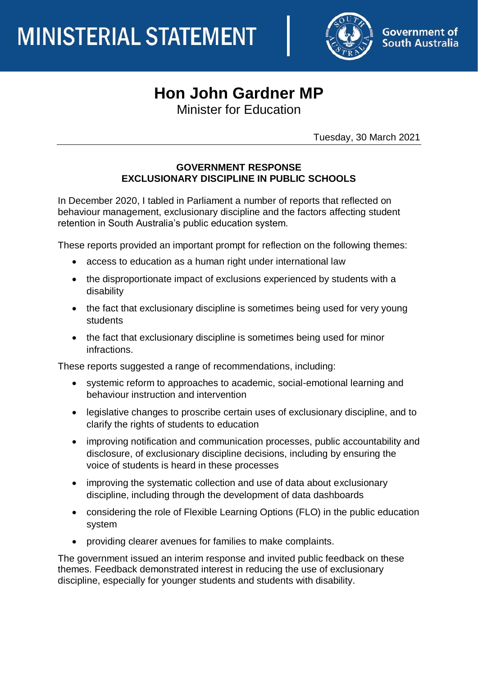

# **Hon John Gardner MP**

Minister for Education

Tuesday, 30 March 2021

### **GOVERNMENT RESPONSE EXCLUSIONARY DISCIPLINE IN PUBLIC SCHOOLS**

In December 2020, I tabled in Parliament a number of reports that reflected on behaviour management, exclusionary discipline and the factors affecting student retention in South Australia's public education system.

These reports provided an important prompt for reflection on the following themes:

- access to education as a human right under international law
- the disproportionate impact of exclusions experienced by students with a disability
- the fact that exclusionary discipline is sometimes being used for very young students
- the fact that exclusionary discipline is sometimes being used for minor infractions.

These reports suggested a range of recommendations, including:

- systemic reform to approaches to academic, social-emotional learning and behaviour instruction and intervention
- legislative changes to proscribe certain uses of exclusionary discipline, and to clarify the rights of students to education
- improving notification and communication processes, public accountability and disclosure, of exclusionary discipline decisions, including by ensuring the voice of students is heard in these processes
- improving the systematic collection and use of data about exclusionary discipline, including through the development of data dashboards
- considering the role of Flexible Learning Options (FLO) in the public education system
- providing clearer avenues for families to make complaints.

The government issued an interim response and invited public feedback on these themes. Feedback demonstrated interest in reducing the use of exclusionary discipline, especially for younger students and students with disability.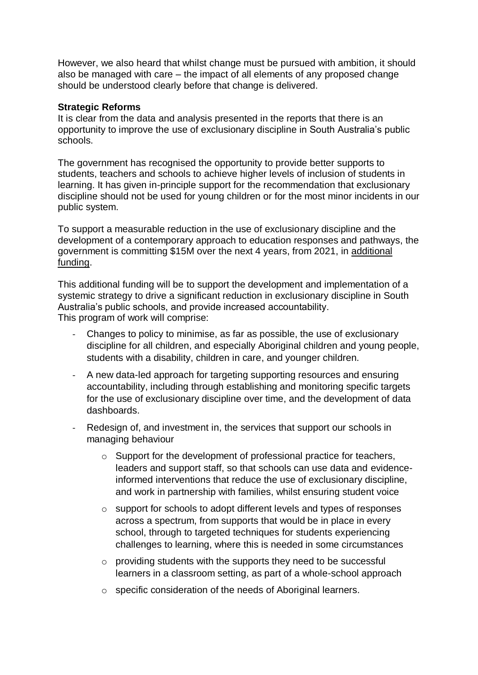However, we also heard that whilst change must be pursued with ambition, it should also be managed with care – the impact of all elements of any proposed change should be understood clearly before that change is delivered.

#### **Strategic Reforms**

It is clear from the data and analysis presented in the reports that there is an opportunity to improve the use of exclusionary discipline in South Australia's public schools.

The government has recognised the opportunity to provide better supports to students, teachers and schools to achieve higher levels of inclusion of students in learning. It has given in-principle support for the recommendation that exclusionary discipline should not be used for young children or for the most minor incidents in our public system.

To support a measurable reduction in the use of exclusionary discipline and the development of a contemporary approach to education responses and pathways, the government is committing \$15M over the next 4 years, from 2021, in additional funding.

This additional funding will be to support the development and implementation of a systemic strategy to drive a significant reduction in exclusionary discipline in South Australia's public schools, and provide increased accountability. This program of work will comprise:

- Changes to policy to minimise, as far as possible, the use of exclusionary discipline for all children, and especially Aboriginal children and young people, students with a disability, children in care, and younger children.
- A new data-led approach for targeting supporting resources and ensuring accountability, including through establishing and monitoring specific targets for the use of exclusionary discipline over time, and the development of data dashboards.
- Redesign of, and investment in, the services that support our schools in managing behaviour
	- o Support for the development of professional practice for teachers, leaders and support staff, so that schools can use data and evidenceinformed interventions that reduce the use of exclusionary discipline, and work in partnership with families, whilst ensuring student voice
	- o support for schools to adopt different levels and types of responses across a spectrum, from supports that would be in place in every school, through to targeted techniques for students experiencing challenges to learning, where this is needed in some circumstances
	- o providing students with the supports they need to be successful learners in a classroom setting, as part of a whole-school approach
	- o specific consideration of the needs of Aboriginal learners.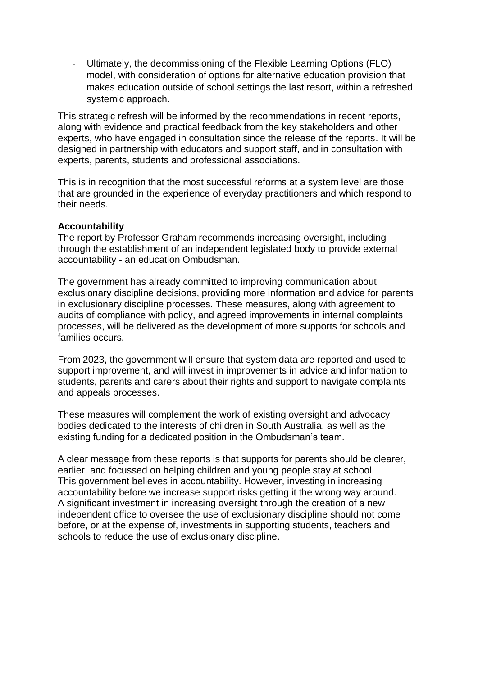Ultimately, the decommissioning of the Flexible Learning Options (FLO) model, with consideration of options for alternative education provision that makes education outside of school settings the last resort, within a refreshed systemic approach.

This strategic refresh will be informed by the recommendations in recent reports, along with evidence and practical feedback from the key stakeholders and other experts, who have engaged in consultation since the release of the reports. It will be designed in partnership with educators and support staff, and in consultation with experts, parents, students and professional associations.

This is in recognition that the most successful reforms at a system level are those that are grounded in the experience of everyday practitioners and which respond to their needs.

#### **Accountability**

The report by Professor Graham recommends increasing oversight, including through the establishment of an independent legislated body to provide external accountability - an education Ombudsman.

The government has already committed to improving communication about exclusionary discipline decisions, providing more information and advice for parents in exclusionary discipline processes. These measures, along with agreement to audits of compliance with policy, and agreed improvements in internal complaints processes, will be delivered as the development of more supports for schools and families occurs.

From 2023, the government will ensure that system data are reported and used to support improvement, and will invest in improvements in advice and information to students, parents and carers about their rights and support to navigate complaints and appeals processes.

These measures will complement the work of existing oversight and advocacy bodies dedicated to the interests of children in South Australia, as well as the existing funding for a dedicated position in the Ombudsman's team.

A clear message from these reports is that supports for parents should be clearer, earlier, and focussed on helping children and young people stay at school. This government believes in accountability. However, investing in increasing accountability before we increase support risks getting it the wrong way around. A significant investment in increasing oversight through the creation of a new independent office to oversee the use of exclusionary discipline should not come before, or at the expense of, investments in supporting students, teachers and schools to reduce the use of exclusionary discipline.